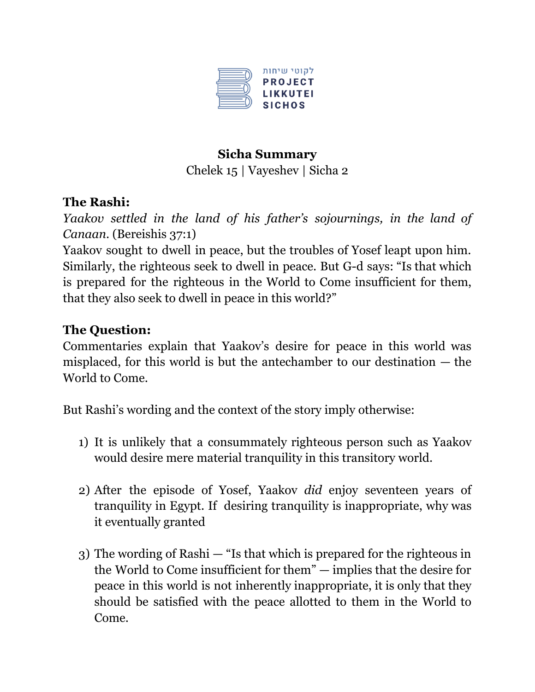

## **Sicha Summary**

Chelek 15 | Vayeshev | Sicha 2

# **The Rashi:**

*Yaakov settled in the land of his father's sojournings, in the land of Canaan*. (Bereishis 37:1)

Yaakov sought to dwell in peace, but the troubles of Yosef leapt upon him. Similarly, the righteous seek to dwell in peace. But G-d says: "Is that which is prepared for the righteous in the World to Come insufficient for them, that they also seek to dwell in peace in this world?"

# **The Question:**

Commentaries explain that Yaakov's desire for peace in this world was misplaced, for this world is but the antechamber to our destination — the World to Come.

But Rashi's wording and the context of the story imply otherwise:

- 1) It is unlikely that a consummately righteous person such as Yaakov would desire mere material tranquility in this transitory world.
- 2) After the episode of Yosef, Yaakov *did* enjoy seventeen years of tranquility in Egypt. If desiring tranquility is inappropriate, why was it eventually granted
- 3) The wording of Rashi "Is that which is prepared for the righteous in the World to Come insufficient for them" — implies that the desire for peace in this world is not inherently inappropriate, it is only that they should be satisfied with the peace allotted to them in the World to Come.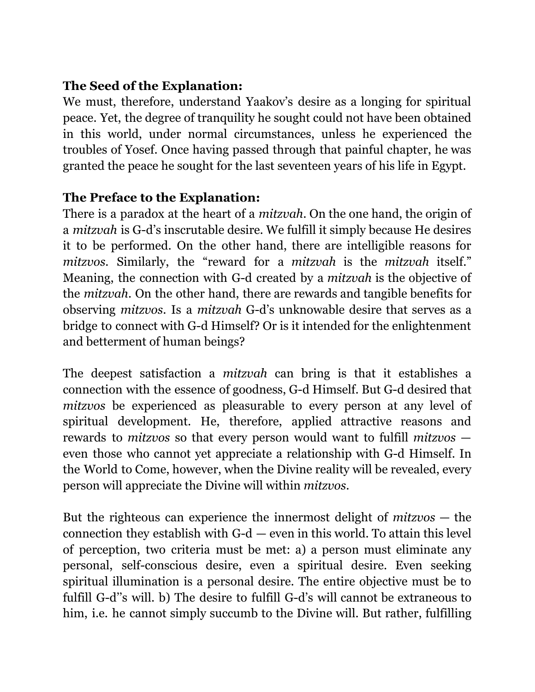## **The Seed of the Explanation:**

We must, therefore, understand Yaakov's desire as a longing for spiritual peace. Yet, the degree of tranquility he sought could not have been obtained in this world, under normal circumstances, unless he experienced the troubles of Yosef. Once having passed through that painful chapter, he was granted the peace he sought for the last seventeen years of his life in Egypt.

### **The Preface to the Explanation:**

There is a paradox at the heart of a *mitzvah*. On the one hand, the origin of a *mitzvah* is G-d's inscrutable desire. We fulfill it simply because He desires it to be performed. On the other hand, there are intelligible reasons for *mitzvos*. Similarly, the "reward for a *mitzvah* is the *mitzvah* itself." Meaning, the connection with G-d created by a *mitzvah* is the objective of the *mitzvah*. On the other hand, there are rewards and tangible benefits for observing *mitzvos*. Is a *mitzvah* G-d's unknowable desire that serves as a bridge to connect with G-d Himself? Or is it intended for the enlightenment and betterment of human beings?

The deepest satisfaction a *mitzvah* can bring is that it establishes a connection with the essence of goodness, G-d Himself. But G-d desired that *mitzvos* be experienced as pleasurable to every person at any level of spiritual development. He, therefore, applied attractive reasons and rewards to *mitzvos* so that every person would want to fulfill *mitzvos* even those who cannot yet appreciate a relationship with G-d Himself. In the World to Come, however, when the Divine reality will be revealed, every person will appreciate the Divine will within *mitzvos*.

But the righteous can experience the innermost delight of *mitzvos* — the connection they establish with  $G-d$  — even in this world. To attain this level of perception, two criteria must be met: a) a person must eliminate any personal, self-conscious desire, even a spiritual desire. Even seeking spiritual illumination is a personal desire. The entire objective must be to fulfill G-d''s will. b) The desire to fulfill G-d's will cannot be extraneous to him, i.e. he cannot simply succumb to the Divine will. But rather, fulfilling